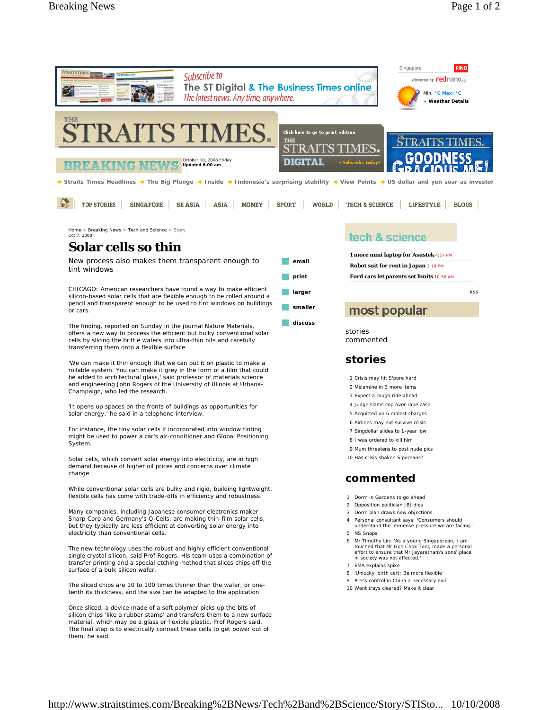